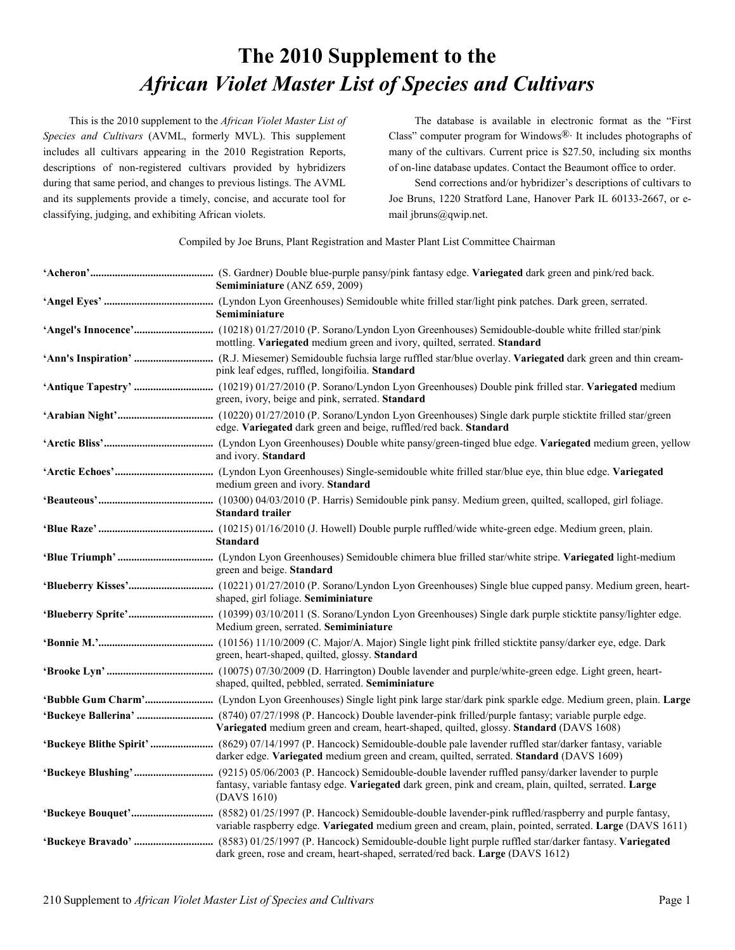## **The 2010 Supplement to the** *African Violet Master List of Species and Cultivars*

This is the 2010 supplement to the *African Violet Master List of Species and Cultivars* (AVML, formerly MVL). This supplement includes all cultivars appearing in the 2010 Registration Reports, descriptions of non-registered cultivars provided by hybridizers during that same period, and changes to previous listings. The AVML and its supplements provide a timely, concise, and accurate tool for classifying, judging, and exhibiting African violets.

The database is available in electronic format as the "First Class" computer program for Windows $\mathbb{R}$ . It includes photographs of many of the cultivars. Current price is \$27.50, including six months of on-line database updates. Contact the Beaumont office to order.

Send corrections and/or hybridizer's descriptions of cultivars to Joe Bruns, 1220 Stratford Lane, Hanover Park IL 60133-2667, or email jbruns@qwip.net.

Compiled by Joe Bruns, Plant Registration and Master Plant List Committee Chairman

| Semiminiature (ANZ 659, 2009)                                                                                                                                                                              |
|------------------------------------------------------------------------------------------------------------------------------------------------------------------------------------------------------------|
| Semiminiature                                                                                                                                                                                              |
| mottling. Variegated medium green and ivory, quilted, serrated. Standard                                                                                                                                   |
| pink leaf edges, ruffled, longifoilia. Standard                                                                                                                                                            |
| green, ivory, beige and pink, serrated. Standard                                                                                                                                                           |
| edge. Variegated dark green and beige, ruffled/red back. Standard                                                                                                                                          |
| and ivory. Standard                                                                                                                                                                                        |
| medium green and ivory. Standard                                                                                                                                                                           |
| <b>Standard trailer</b>                                                                                                                                                                                    |
| <b>Standard</b>                                                                                                                                                                                            |
| green and beige. Standard                                                                                                                                                                                  |
| shaped, girl foliage. Semiminiature                                                                                                                                                                        |
| Medium green, serrated. Semiminiature                                                                                                                                                                      |
| green, heart-shaped, quilted, glossy. Standard                                                                                                                                                             |
| shaped, quilted, pebbled, serrated. Semiminiature                                                                                                                                                          |
|                                                                                                                                                                                                            |
| Variegated medium green and cream, heart-shaped, quilted, glossy. Standard (DAVS 1608)                                                                                                                     |
| darker edge. Variegated medium green and cream, quilted, serrated. Standard (DAVS 1609)                                                                                                                    |
| fantasy, variable fantasy edge. Variegated dark green, pink and cream, plain, quilted, serrated. Large<br>(DAVS 1610)                                                                                      |
| variable raspberry edge. Variegated medium green and cream, plain, pointed, serrated. Large (DAVS 1611)                                                                                                    |
| 'Buckeye Bravado'  (8583) 01/25/1997 (P. Hancock) Semidouble-double light purple ruffled star/darker fantasy. Variegated<br>dark green, rose and cream, heart-shaped, serrated/red back. Large (DAVS 1612) |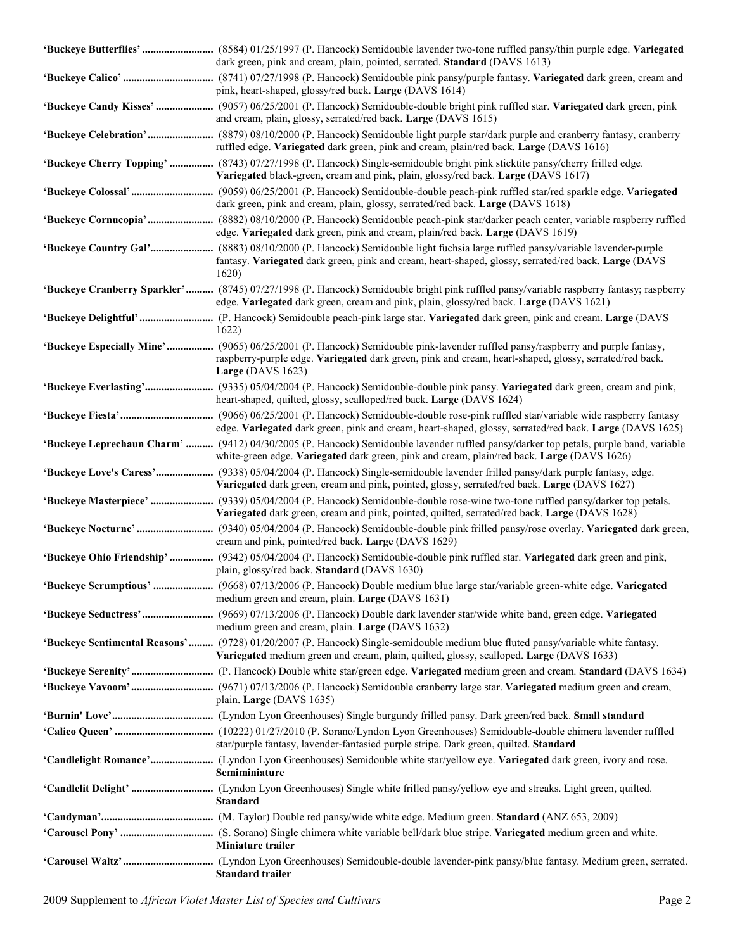| dark green, pink and cream, plain, pointed, serrated. Standard (DAVS 1613)                                                                                                                                                                                      |
|-----------------------------------------------------------------------------------------------------------------------------------------------------------------------------------------------------------------------------------------------------------------|
| pink, heart-shaped, glossy/red back. Large (DAVS 1614)                                                                                                                                                                                                          |
| and cream, plain, glossy, serrated/red back. Large (DAVS 1615)                                                                                                                                                                                                  |
| ruffled edge. Variegated dark green, pink and cream, plain/red back. Large (DAVS 1616)                                                                                                                                                                          |
| 'Buckeye Cherry Topping'  (8743) 07/27/1998 (P. Hancock) Single-semidouble bright pink sticktite pansy/cherry frilled edge.<br>Variegated black-green, cream and pink, plain, glossy/red back. Large (DAVS 1617)                                                |
| dark green, pink and cream, plain, glossy, serrated/red back. Large (DAVS 1618)                                                                                                                                                                                 |
| edge. Variegated dark green, pink and cream, plain/red back. Large (DAVS 1619)                                                                                                                                                                                  |
| 'Buckeye Country Gal' (8883) 08/10/2000 (P. Hancock) Semidouble light fuchsia large ruffled pansy/variable lavender-purple<br>fantasy. Variegated dark green, pink and cream, heart-shaped, glossy, serrated/red back. Large (DAVS<br>1620)                     |
| 'Buckeye Cranberry Sparkler' (8745) 07/27/1998 (P. Hancock) Semidouble bright pink ruffled pansy/variable raspberry fantasy; raspberry<br>edge. Variegated dark green, cream and pink, plain, glossy/red back. Large (DAVS 1621)                                |
| 1622)                                                                                                                                                                                                                                                           |
| 'Buckeye Especially Mine'  (9065) 06/25/2001 (P. Hancock) Semidouble pink-lavender ruffled pansy/raspberry and purple fantasy,<br>raspberry-purple edge. Variegated dark green, pink and cream, heart-shaped, glossy, serrated/red back.<br>Large $(DAVS 1623)$ |
| heart-shaped, quilted, glossy, scalloped/red back. Large (DAVS 1624)                                                                                                                                                                                            |
| edge. Variegated dark green, pink and cream, heart-shaped, glossy, serrated/red back. Large (DAVS 1625)                                                                                                                                                         |
| 'Buckeye Leprechaun Charm'  (9412) 04/30/2005 (P. Hancock) Semidouble lavender ruffled pansy/darker top petals, purple band, variable<br>white-green edge. Variegated dark green, pink and cream, plain/red back. Large (DAVS 1626)                             |
| 'Buckeye Love's Caress' (9338) 05/04/2004 (P. Hancock) Single-semidouble lavender frilled pansy/dark purple fantasy, edge.<br>Variegated dark green, cream and pink, pointed, glossy, serrated/red back. Large (DAVS 1627)                                      |
| 'Buckeye Masterpiece'  (9339) 05/04/2004 (P. Hancock) Semidouble-double rose-wine two-tone ruffled pansy/darker top petals.<br>Variegated dark green, cream and pink, pointed, quilted, serrated/red back. Large (DAVS 1628)                                    |
| cream and pink, pointed/red back. Large (DAVS 1629)                                                                                                                                                                                                             |
| 'Buckeye Ohio Friendship'  (9342) 05/04/2004 (P. Hancock) Semidouble-double pink ruffled star. Variegated dark green and pink,<br>plain, glossy/red back. Standard (DAVS 1630)                                                                                  |
| 'Buckeye Scrumptious'  (9668) 07/13/2006 (P. Hancock) Double medium blue large star/variable green-white edge. Variegated<br>medium green and cream, plain. Large (DAVS 1631)                                                                                   |
| 'Buckeye Seductress' (9669) 07/13/2006 (P. Hancock) Double dark lavender star/wide white band, green edge. Variegated<br>medium green and cream, plain. Large (DAVS 1632)                                                                                       |
| 'Buckeye Sentimental Reasons' (9728) 01/20/2007 (P. Hancock) Single-semidouble medium blue fluted pansy/variable white fantasy.<br>Variegated medium green and cream, plain, quilted, glossy, scalloped. Large (DAVS 1633)                                      |
| <b>Buckeye Vavoom'</b> (9671) 07/13/2006 (P. Hancock) Semidouble cranberry large star. Variegated medium green and cream,                                                                                                                                       |
| plain. Large (DAVS 1635)                                                                                                                                                                                                                                        |
|                                                                                                                                                                                                                                                                 |
| star/purple fantasy, lavender-fantasied purple stripe. Dark green, quilted. Standard                                                                                                                                                                            |
| Semiminiature                                                                                                                                                                                                                                                   |
| <b>Standard</b>                                                                                                                                                                                                                                                 |
|                                                                                                                                                                                                                                                                 |
| Miniature trailer                                                                                                                                                                                                                                               |
| <b>Standard trailer</b>                                                                                                                                                                                                                                         |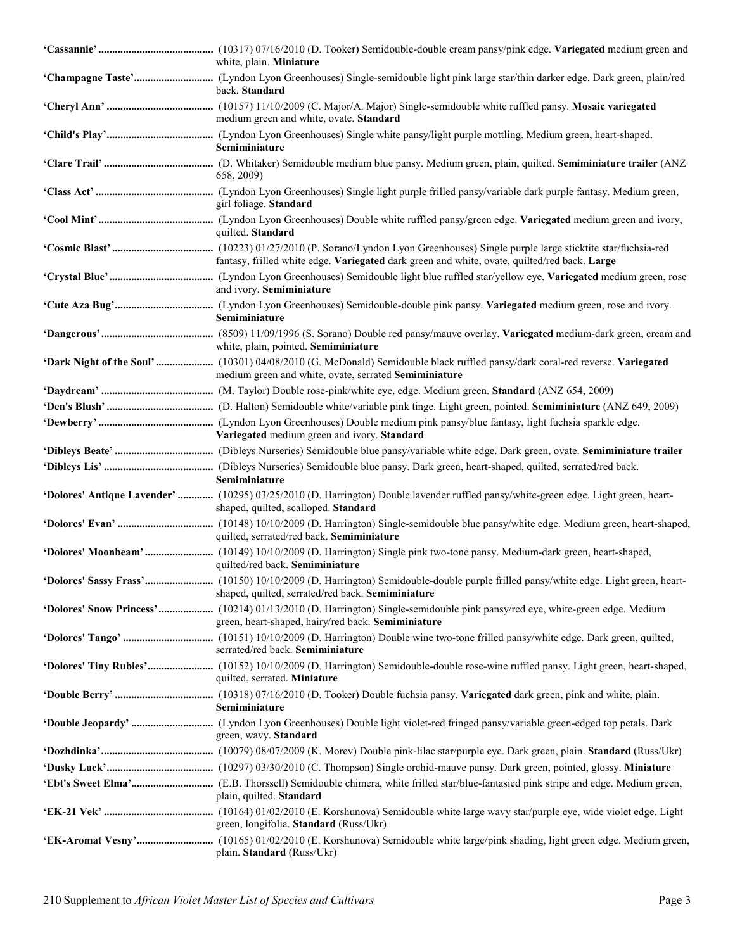| white, plain. Miniature                                                                                                                                                               |
|---------------------------------------------------------------------------------------------------------------------------------------------------------------------------------------|
| back. Standard                                                                                                                                                                        |
| medium green and white, ovate. Standard                                                                                                                                               |
| Semiminiature                                                                                                                                                                         |
| 658, 2009)                                                                                                                                                                            |
| girl foliage. Standard                                                                                                                                                                |
| quilted. Standard                                                                                                                                                                     |
| fantasy, frilled white edge. Variegated dark green and white, ovate, quilted/red back. Large                                                                                          |
| and ivory. Semiminiature                                                                                                                                                              |
| Semiminiature                                                                                                                                                                         |
| white, plain, pointed. Semiminiature                                                                                                                                                  |
| 'Dark Night of the Soul'  (10301) 04/08/2010 (G. McDonald) Semidouble black ruffled pansy/dark coral-red reverse. Variegated<br>medium green and white, ovate, serrated Semiminiature |
|                                                                                                                                                                                       |
|                                                                                                                                                                                       |
| Variegated medium green and ivory. Standard                                                                                                                                           |
|                                                                                                                                                                                       |
| Semiminiature                                                                                                                                                                         |
| 'Dolores' Antique Lavender'  (10295) 03/25/2010 (D. Harrington) Double lavender ruffled pansy/white-green edge. Light green, heart-<br>shaped, quilted, scalloped. Standard           |
| quilted, serrated/red back. Semiminiature                                                                                                                                             |
| 'Dolores' Moonbeam' (10149) 10/10/2009 (D. Harrington) Single pink two-tone pansy. Medium-dark green, heart-shaped,<br>quilted/red back. Semiminiature                                |
| shaped, quilted, serrated/red back. Semiminiature                                                                                                                                     |
| green, heart-shaped, hairy/red back. Semiminiature                                                                                                                                    |
| serrated/red back. Semiminiature                                                                                                                                                      |
| quilted, serrated. Miniature                                                                                                                                                          |
| Semiminiature                                                                                                                                                                         |
| green, wavy. Standard                                                                                                                                                                 |
|                                                                                                                                                                                       |
|                                                                                                                                                                                       |
| plain, quilted. Standard                                                                                                                                                              |
| green, longifolia. Standard (Russ/Ukr)                                                                                                                                                |
| plain. Standard (Russ/Ukr)                                                                                                                                                            |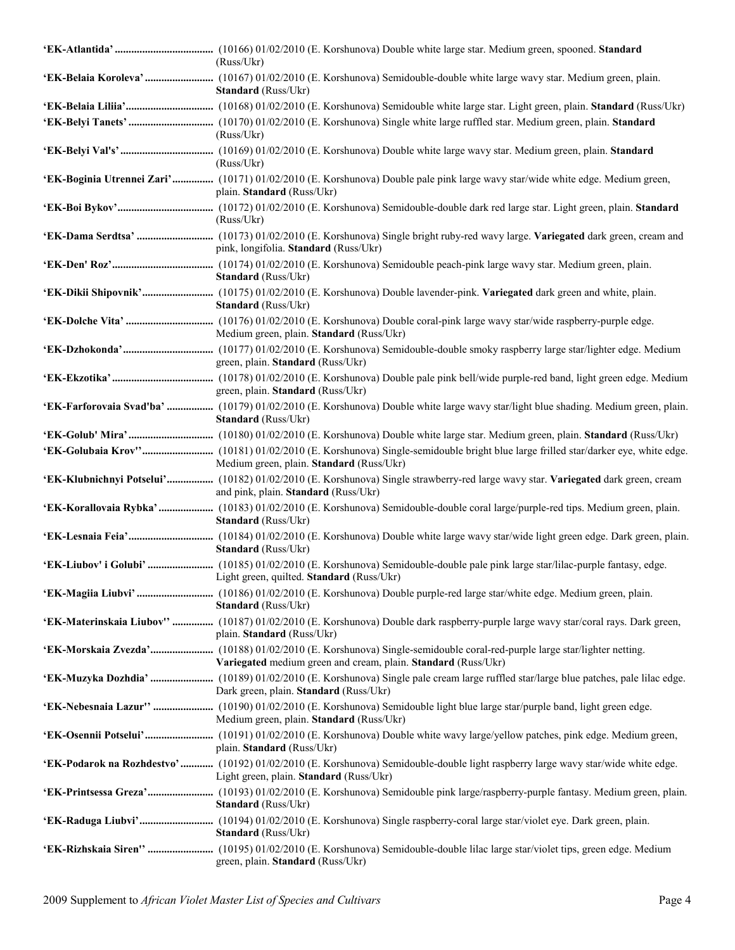| (Russ/Ukr)                                                                                                                                                                  |
|-----------------------------------------------------------------------------------------------------------------------------------------------------------------------------|
| Standard (Russ/Ukr)                                                                                                                                                         |
|                                                                                                                                                                             |
| (Russ/Ukr)                                                                                                                                                                  |
| (Russ/Ukr)                                                                                                                                                                  |
| 'EK-Boginia Utrennei Zari' (10171) 01/02/2010 (E. Korshunova) Double pale pink large wavy star/wide white edge. Medium green,<br>plain. Standard (Russ/Ukr)                 |
| (Russ/Ukr)                                                                                                                                                                  |
| pink, longifolia. Standard (Russ/Ukr)                                                                                                                                       |
| Standard (Russ/Ukr)                                                                                                                                                         |
| Standard (Russ/Ukr)                                                                                                                                                         |
| Medium green, plain. Standard (Russ/Ukr)                                                                                                                                    |
| <b>'EK-Dzhokonda'</b> (10177) 01/02/2010 (E. Korshunova) Semidouble-double smoky raspberry large star/lighter edge. Medium<br>green, plain. Standard (Russ/Ukr)             |
| green, plain. Standard (Russ/Ukr)                                                                                                                                           |
| 'EK-Farforovaia Svad'ba'  (10179) 01/02/2010 (E. Korshunova) Double white large wavy star/light blue shading. Medium green, plain.<br>Standard (Russ/Ukr)                   |
| <b>'EK-Golub' Mira'</b> (10180) 01/02/2010 (E. Korshunova) Double white large star. Medium green, plain. Standard (Russ/Ukr)                                                |
| Medium green, plain. Standard (Russ/Ukr)                                                                                                                                    |
| 'EK-Klubnichnyi Potselui' (10182) 01/02/2010 (E. Korshunova) Single strawberry-red large wavy star. Variegated dark green, cream<br>and pink, plain. Standard (Russ/Ukr)    |
| 'EK-Korallovaia Rybka'  (10183) 01/02/2010 (E. Korshunova) Semidouble-double coral large/purple-red tips. Medium green, plain.<br>Standard (Russ/Ukr)                       |
| Standard (Russ/Ukr)                                                                                                                                                         |
| Light green, quilted. <b>Standard</b> (Russ/Ukr)                                                                                                                            |
| <b>Standard</b> (Russ/Ukr)                                                                                                                                                  |
| 'EK-Materinskaia Liubov''  (10187) 01/02/2010 (E. Korshunova) Double dark raspberry-purple large wavy star/coral rays. Dark green,<br>plain. Standard (Russ/Ukr)            |
| Variegated medium green and cream, plain. Standard (Russ/Ukr)                                                                                                               |
| Dark green, plain. Standard (Russ/Ukr)                                                                                                                                      |
| Medium green, plain. Standard (Russ/Ukr)                                                                                                                                    |
| plain. Standard (Russ/Ukr)                                                                                                                                                  |
| 'EK-Podarok na Rozhdestvo' (10192) 01/02/2010 (E. Korshunova) Semidouble-double light raspberry large wavy star/wide white edge.<br>Light green, plain. Standard (Russ/Ukr) |
| <b>Standard</b> (Russ/Ukr)                                                                                                                                                  |
| <b>Standard</b> (Russ/Ukr)                                                                                                                                                  |
| green, plain. Standard (Russ/Ukr)                                                                                                                                           |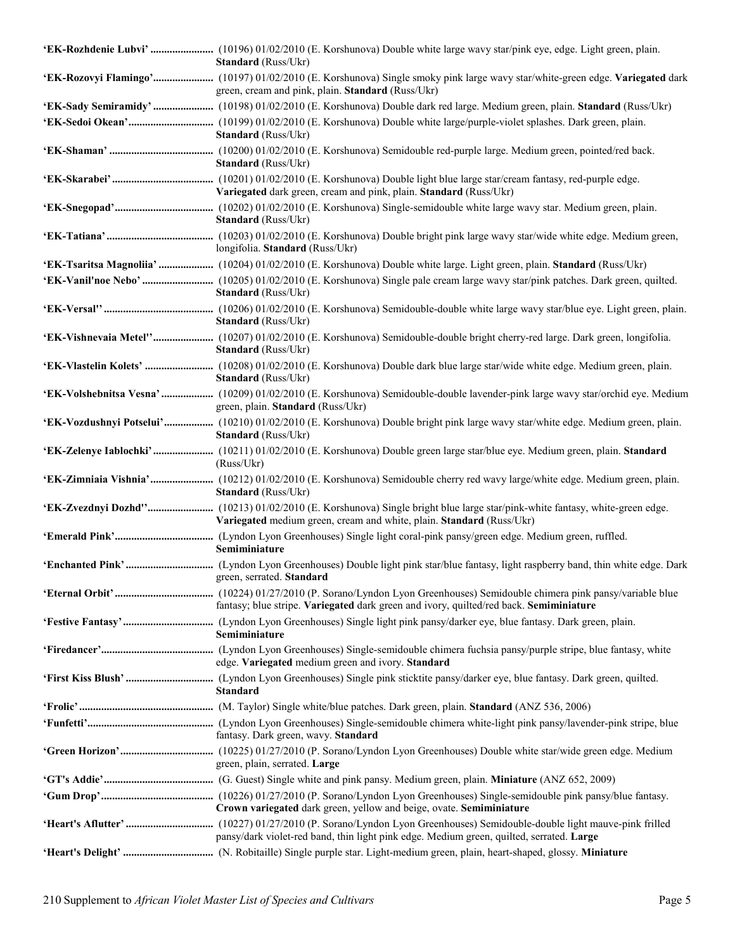| <b>Standard</b> (Russ/Ukr)                                                                                                                                                        |
|-----------------------------------------------------------------------------------------------------------------------------------------------------------------------------------|
| 'EK-Rozovyi Flamingo' (10197) 01/02/2010 (E. Korshunova) Single smoky pink large wavy star/white-green edge. Variegated dark<br>green, cream and pink, plain. Standard (Russ/Ukr) |
|                                                                                                                                                                                   |
| <b>Standard</b> (Russ/Ukr)                                                                                                                                                        |
| <b>Standard</b> (Russ/Ukr)                                                                                                                                                        |
| Variegated dark green, cream and pink, plain. Standard (Russ/Ukr)                                                                                                                 |
| <b>Standard</b> (Russ/Ukr)                                                                                                                                                        |
| longifolia. Standard (Russ/Ukr)                                                                                                                                                   |
| 'EK-Tsaritsa Magnoliia'  (10204) 01/02/2010 (E. Korshunova) Double white large. Light green, plain. Standard (Russ/Ukr)                                                           |
| <b>Standard</b> (Russ/Ukr)                                                                                                                                                        |
| <b>Standard</b> (Russ/Ukr)                                                                                                                                                        |
| 'EK-Vishnevaia Metel'' (10207) 01/02/2010 (E. Korshunova) Semidouble-double bright cherry-red large. Dark green, longifolia.<br><b>Standard</b> (Russ/Ukr)                        |
| <b>Standard</b> (Russ/Ukr)                                                                                                                                                        |
| 'EK-Volshebnitsa Vesna'  (10209) 01/02/2010 (E. Korshunova) Semidouble-double lavender-pink large wavy star/orchid eye. Medium<br>green, plain. Standard (Russ/Ukr)               |
| 'EK-Vozdushnyi Potselui' (10210) 01/02/2010 (E. Korshunova) Double bright pink large wavy star/white edge. Medium green, plain.<br><b>Standard</b> (Russ/Ukr)                     |
| 'EK-Zelenye Iablochki' (10211) 01/02/2010 (E. Korshunova) Double green large star/blue eye. Medium green, plain. Standard<br>(Russ/Ukr)                                           |
| 'EK-Zimniaia Vishnia' (10212) 01/02/2010 (E. Korshunova) Semidouble cherry red wavy large/white edge. Medium green, plain.<br><b>Standard</b> (Russ/Ukr)                          |
| Variegated medium green, cream and white, plain. Standard (Russ/Ukr)                                                                                                              |
| Semiminiature                                                                                                                                                                     |
| green, serrated, <b>Standard</b>                                                                                                                                                  |
| fantasy; blue stripe. Variegated dark green and ivory, quilted/red back. Semiminiature                                                                                            |
| Semiminiature                                                                                                                                                                     |
| edge. Variegated medium green and ivory. Standard                                                                                                                                 |
| <b>Standard</b>                                                                                                                                                                   |
|                                                                                                                                                                                   |
| fantasy. Dark green, wavy. Standard                                                                                                                                               |
| green, plain, serrated. Large                                                                                                                                                     |
|                                                                                                                                                                                   |
| Crown variegated dark green, yellow and beige, ovate. Semiminiature                                                                                                               |
| pansy/dark violet-red band, thin light pink edge. Medium green, quilted, serrated. Large                                                                                          |
|                                                                                                                                                                                   |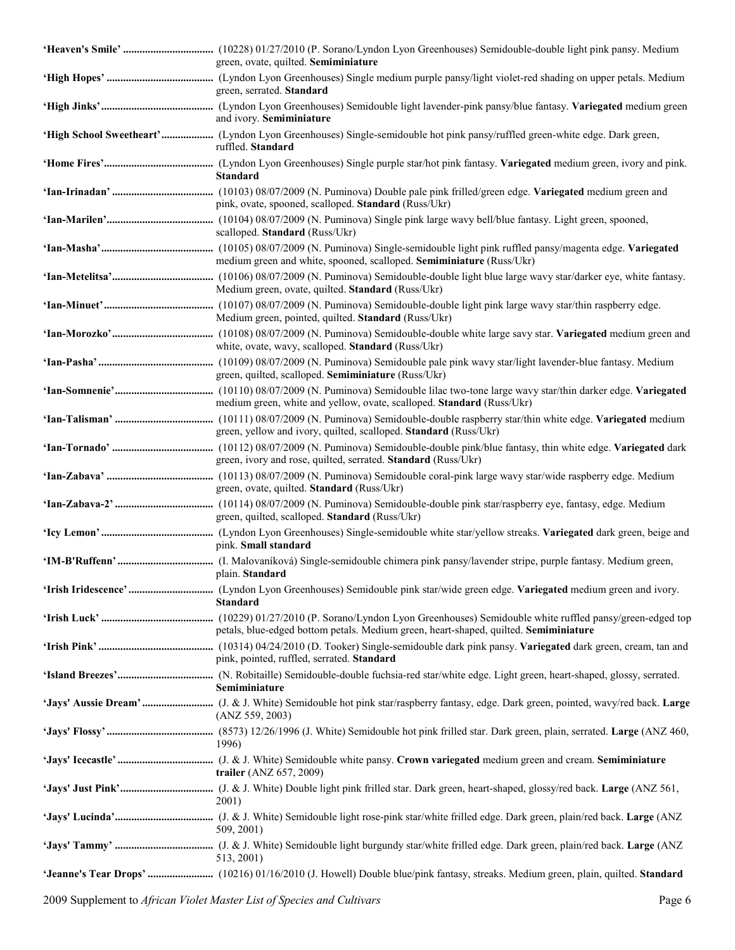| green, ovate, quilted. Semiminiature                                                 |
|--------------------------------------------------------------------------------------|
| green, serrated. Standard                                                            |
| and ivory. Semiminiature                                                             |
| ruffled. Standard                                                                    |
| <b>Standard</b>                                                                      |
| pink, ovate, spooned, scalloped. Standard (Russ/Ukr)                                 |
| scalloped. Standard (Russ/Ukr)                                                       |
| medium green and white, spooned, scalloped. Semiminiature (Russ/Ukr)                 |
| Medium green, ovate, quilted. Standard (Russ/Ukr)                                    |
| Medium green, pointed, quilted. Standard (Russ/Ukr)                                  |
| white, ovate, wavy, scalloped. Standard (Russ/Ukr)                                   |
| green, quilted, scalloped. Semiminiature (Russ/Ukr)                                  |
| medium green, white and yellow, ovate, scalloped. Standard (Russ/Ukr)                |
| green, yellow and ivory, quilted, scalloped. Standard (Russ/Ukr)                     |
| green, ivory and rose, quilted, serrated. Standard (Russ/Ukr)                        |
| green, ovate, quilted. Standard (Russ/Ukr)                                           |
| green, quilted, scalloped. Standard (Russ/Ukr)                                       |
| pink. Small standard                                                                 |
| plain. Standard                                                                      |
| <b>Standard</b>                                                                      |
| petals, blue-edged bottom petals. Medium green, heart-shaped, quilted. Semiminiature |
| pink, pointed, ruffled, serrated. Standard                                           |
| Semiminiature                                                                        |
| (ANZ 559, 2003)                                                                      |
| 1996)                                                                                |
| trailer (ANZ 657, 2009)                                                              |
| 2001)                                                                                |
| 509, 2001)                                                                           |
| 513, 2001)                                                                           |
|                                                                                      |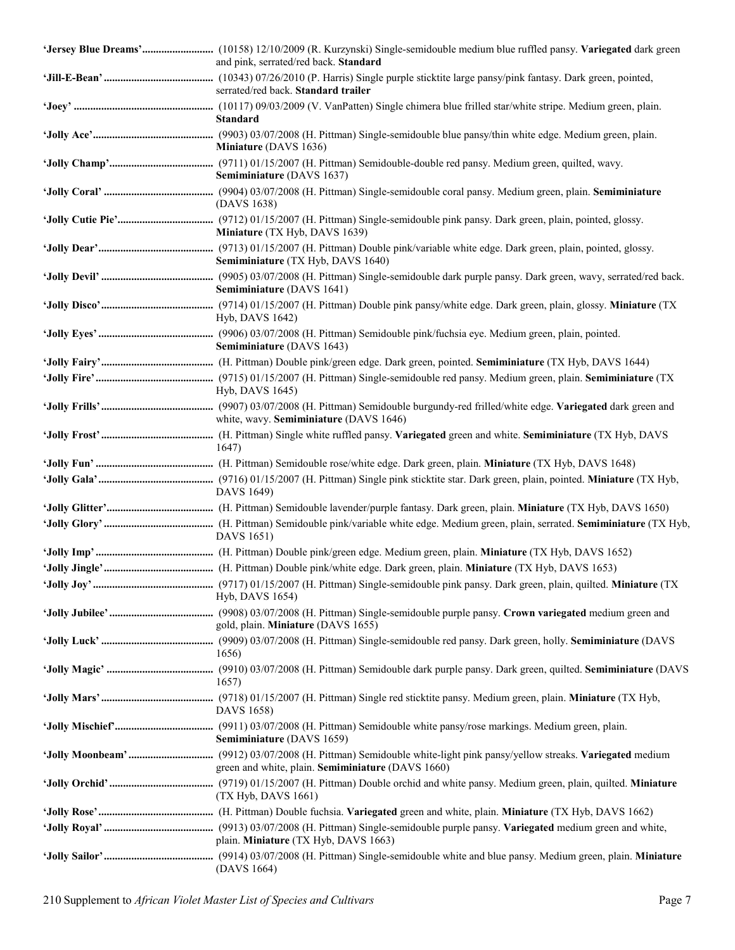| and pink, serrated/red back. Standard             |
|---------------------------------------------------|
| serrated/red back. Standard trailer               |
| <b>Standard</b>                                   |
| Miniature (DAVS 1636)                             |
| Semiminiature (DAVS 1637)                         |
| (DAVS 1638)                                       |
| Miniature (TX Hyb, DAVS 1639)                     |
| Semiminiature (TX Hyb, DAVS 1640)                 |
| Semiminiature (DAVS 1641)                         |
| Hyb, DAVS 1642)                                   |
| Semiminiature (DAVS 1643)                         |
|                                                   |
| Hyb, DAVS 1645)                                   |
| white, wavy. Semiminiature (DAVS 1646)            |
| 1647)                                             |
|                                                   |
| DAVS 1649)                                        |
|                                                   |
| DAVS 1651)                                        |
|                                                   |
|                                                   |
| Hyb, DAVS 1654)                                   |
| gold, plain. Miniature (DAVS 1655)                |
| 1656)                                             |
| 1657)                                             |
| DAVS 1658)                                        |
| Semiminiature (DAVS 1659)                         |
| green and white, plain. Semiminiature (DAVS 1660) |
| (TX Hyb, DAVS 1661)                               |
|                                                   |
| plain. Miniature (TX Hyb, DAVS 1663)              |
| (DAVS 1664)                                       |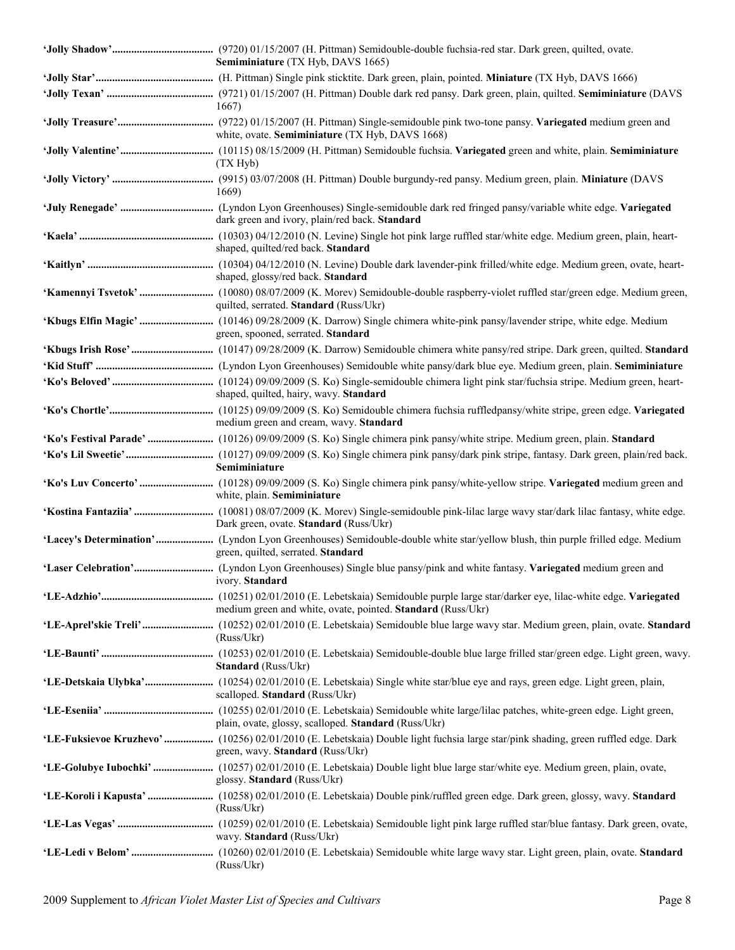| Semiminiature (TX Hyb, DAVS 1665)                                                                                                                                      |
|------------------------------------------------------------------------------------------------------------------------------------------------------------------------|
|                                                                                                                                                                        |
|                                                                                                                                                                        |
| 1667)                                                                                                                                                                  |
| white, ovate. Semiminiature (TX Hyb, DAVS 1668)                                                                                                                        |
| (TX Hyb)                                                                                                                                                               |
| 1669)                                                                                                                                                                  |
| dark green and ivory, plain/red back. Standard                                                                                                                         |
| shaped, quilted/red back. Standard                                                                                                                                     |
| shaped, glossy/red back. Standard                                                                                                                                      |
| quilted, serrated. Standard (Russ/Ukr)                                                                                                                                 |
| green, spooned, serrated. Standard                                                                                                                                     |
|                                                                                                                                                                        |
|                                                                                                                                                                        |
| shaped, quilted, hairy, wavy. Standard                                                                                                                                 |
| medium green and cream, wavy. Standard                                                                                                                                 |
|                                                                                                                                                                        |
| Semiminiature                                                                                                                                                          |
| white, plain. Semiminiature                                                                                                                                            |
| Dark green, ovate. Standard (Russ/Ukr)                                                                                                                                 |
| green, quilted, serrated. Standard                                                                                                                                     |
| ivory. Standard                                                                                                                                                        |
| medium green and white, ovate, pointed. Standard (Russ/Ukr)                                                                                                            |
| (Russ/Ukr)                                                                                                                                                             |
| Standard (Russ/Ukr)                                                                                                                                                    |
| scalloped. Standard (Russ/Ukr)                                                                                                                                         |
| plain, ovate, glossy, scalloped. Standard (Russ/Ukr)                                                                                                                   |
| 'LE-Fuksievoe Kruzhevo'  (10256) 02/01/2010 (E. Lebetskaia) Double light fuchsia large star/pink shading, green ruffled edge. Dark<br>green, wavy. Standard (Russ/Ukr) |
| 'LE-Golubye Iubochki'  (10257) 02/01/2010 (E. Lebetskaia) Double light blue large star/white eye. Medium green, plain, ovate,<br>glossy. Standard (Russ/Ukr)           |
| (Russ/Ukr)                                                                                                                                                             |
| wavy. Standard (Russ/Ukr)                                                                                                                                              |
| (Russ/Ukr)                                                                                                                                                             |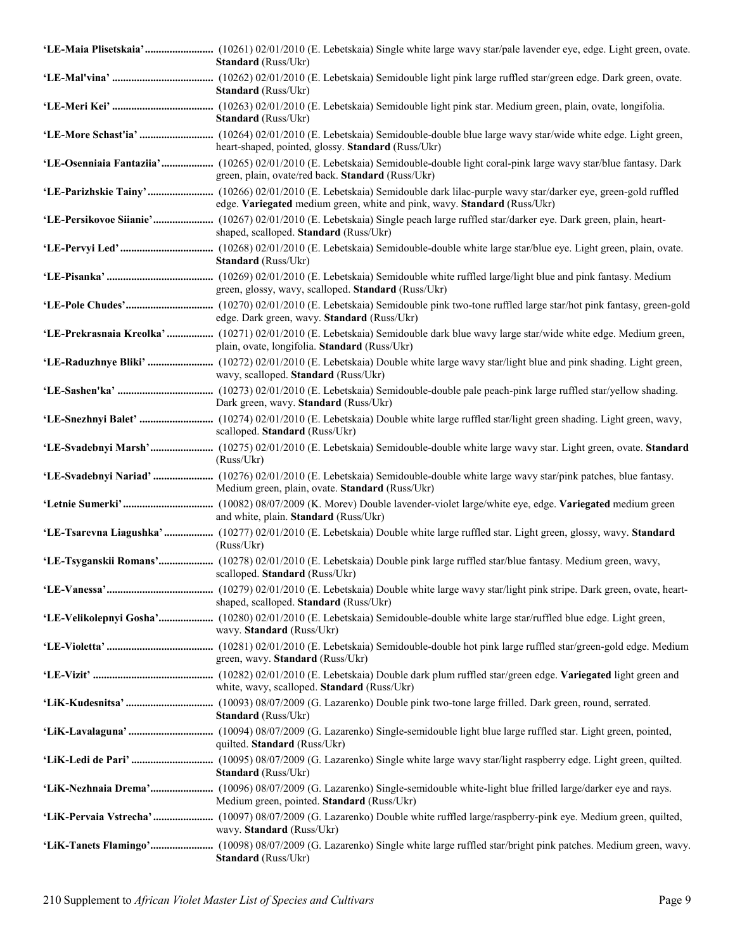| <b>Standard</b> (Russ/Ukr)                                                                                                                                                                                  |
|-------------------------------------------------------------------------------------------------------------------------------------------------------------------------------------------------------------|
| <b>Standard</b> (Russ/Ukr)                                                                                                                                                                                  |
| <b>Standard</b> (Russ/Ukr)                                                                                                                                                                                  |
| heart-shaped, pointed, glossy. Standard (Russ/Ukr)                                                                                                                                                          |
| 'LE-Osenniaia Fantaziia'  (10265) 02/01/2010 (E. Lebetskaia) Semidouble-double light coral-pink large wavy star/blue fantasy. Dark<br>green, plain, ovate/red back. Standard (Russ/Ukr)                     |
| 'LE-Parizhskie Tainy'  (10266) 02/01/2010 (E. Lebetskaia) Semidouble dark lilac-purple wavy star/darker eye, green-gold ruffled<br>edge. Variegated medium green, white and pink, wavy. Standard (Russ/Ukr) |
| 'LE-Persikovoe Siianie' (10267) 02/01/2010 (E. Lebetskaia) Single peach large ruffled star/darker eye. Dark green, plain, heart-<br>shaped, scalloped. Standard (Russ/Ukr)                                  |
| Standard (Russ/Ukr)                                                                                                                                                                                         |
| green, glossy, wavy, scalloped. Standard (Russ/Ukr)                                                                                                                                                         |
| edge. Dark green, wavy. Standard (Russ/Ukr)                                                                                                                                                                 |
| 'LE-Prekrasnaia Kreolka'  (10271) 02/01/2010 (E. Lebetskaia) Semidouble dark blue wavy large star/wide white edge. Medium green,<br>plain, ovate, longifolia. Standard (Russ/Ukr)                           |
| wavy, scalloped. Standard (Russ/Ukr)                                                                                                                                                                        |
| Dark green, wavy. Standard (Russ/Ukr)                                                                                                                                                                       |
| scalloped. Standard (Russ/Ukr)                                                                                                                                                                              |
| (Russ/Ukr)                                                                                                                                                                                                  |
| Medium green, plain, ovate. Standard (Russ/Ukr)                                                                                                                                                             |
| and white, plain. Standard (Russ/Ukr)                                                                                                                                                                       |
| 'LE-Tsarevna Liagushka'  (10277) 02/01/2010 (E. Lebetskaia) Double white large ruffled star. Light green, glossy, wavy. Standard<br>(Russ/Ukr)                                                              |
| 'LE-Tsyganskii Romans' (10278) 02/01/2010 (E. Lebetskaia) Double pink large ruffled star/blue fantasy. Medium green, wavy,<br>scalloped. Standard (Russ/Ukr)                                                |
| shaped, scalloped. Standard (Russ/Ukr)                                                                                                                                                                      |
| 'LE-Velikolepnyi Gosha' (10280) 02/01/2010 (E. Lebetskaia) Semidouble-double white large star/ruffled blue edge. Light green,<br>wavy. Standard (Russ/Ukr)                                                  |
| green, wavy. Standard (Russ/Ukr)                                                                                                                                                                            |
| white, wavy, scalloped. Standard (Russ/Ukr)                                                                                                                                                                 |
| <b>Standard</b> (Russ/Ukr)                                                                                                                                                                                  |
| quilted. Standard (Russ/Ukr)                                                                                                                                                                                |
| <b>Standard</b> (Russ/Ukr)                                                                                                                                                                                  |
| Medium green, pointed. Standard (Russ/Ukr)                                                                                                                                                                  |
| wavy. Standard (Russ/Ukr)                                                                                                                                                                                   |
| <b>Standard</b> (Russ/Ukr)                                                                                                                                                                                  |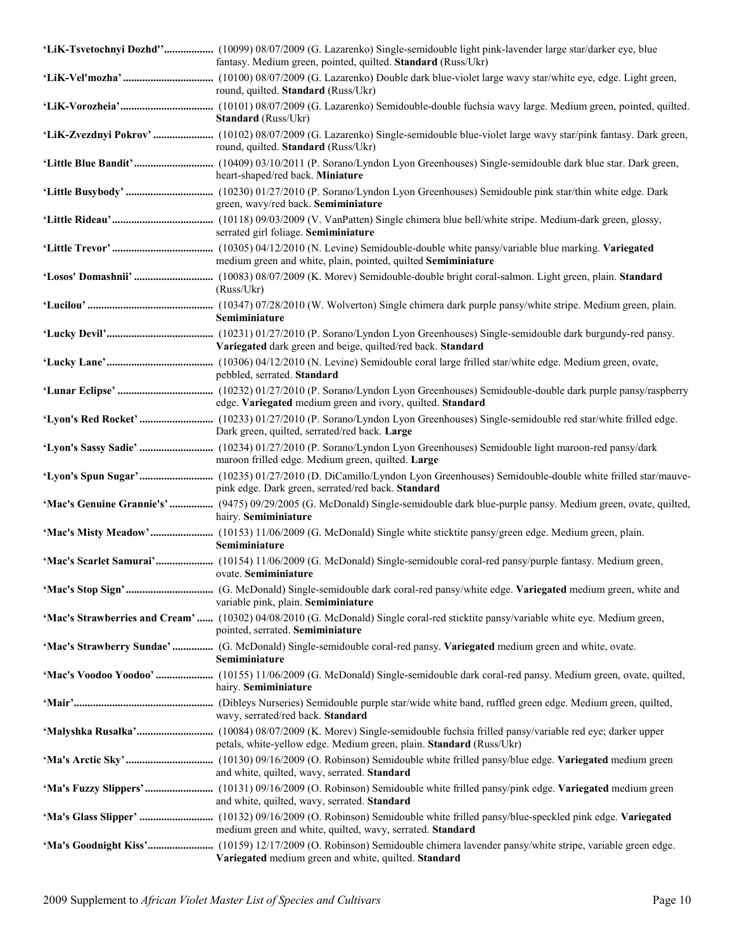| 'LiK-Tsvetochnyi Dozhd'' (10099) 08/07/2009 (G. Lazarenko) Single-semidouble light pink-lavender large star/darker eye, blue<br>fantasy. Medium green, pointed, quilted. Standard (Russ/Ukr) |
|----------------------------------------------------------------------------------------------------------------------------------------------------------------------------------------------|
| round, quilted. Standard (Russ/Ukr)                                                                                                                                                          |
| <b>Standard</b> (Russ/Ukr)                                                                                                                                                                   |
| round, quilted. Standard (Russ/Ukr)                                                                                                                                                          |
| heart-shaped/red back. Miniature                                                                                                                                                             |
| green, wavy/red back. Semiminiature                                                                                                                                                          |
| serrated girl foliage. Semiminiature                                                                                                                                                         |
| medium green and white, plain, pointed, quilted Semiminiature                                                                                                                                |
| (Russ/Ukr)                                                                                                                                                                                   |
| Semiminiature                                                                                                                                                                                |
| Variegated dark green and beige, quilted/red back. Standard                                                                                                                                  |
| pebbled, serrated. Standard                                                                                                                                                                  |
| edge. Variegated medium green and ivory, quilted. Standard                                                                                                                                   |
| Dark green, quilted, serrated/red back. Large                                                                                                                                                |
| maroon frilled edge. Medium green, quilted. Large                                                                                                                                            |
| pink edge. Dark green, serrated/red back. Standard                                                                                                                                           |
| 'Mac's Genuine Grannie's'  (9475) 09/29/2005 (G. McDonald) Single-semidouble dark blue-purple pansy. Medium green, ovate, quilted,<br>hairy. Semiminiature                                   |
| Semiminiature                                                                                                                                                                                |
| 'Mac's Scarlet Samurai' (10154) 11/06/2009 (G. McDonald) Single-semidouble coral-red pansy/purple fantasy. Medium green,<br>ovate. Semiminiature                                             |
| variable pink, plain. Semiminiature                                                                                                                                                          |
| 'Mac's Strawberries and Cream'  (10302) 04/08/2010 (G. McDonald) Single coral-red sticktite pansy/variable white eye. Medium green,<br>pointed, serrated. Semiminiature                      |
| 'Mac's Strawberry Sundae'  (G. McDonald) Single-semidouble coral-red pansy. Variegated medium green and white, ovate.<br>Semiminiature                                                       |
| hairy. Semiminiature                                                                                                                                                                         |
| wavy, serrated/red back. Standard                                                                                                                                                            |
| petals, white-yellow edge. Medium green, plain. Standard (Russ/Ukr)                                                                                                                          |
| and white, quilted, wavy, serrated. Standard                                                                                                                                                 |
| and white, quilted, wavy, serrated. Standard                                                                                                                                                 |
| medium green and white, quilted, wavy, serrated. Standard                                                                                                                                    |
| Variegated medium green and white, quilted. Standard                                                                                                                                         |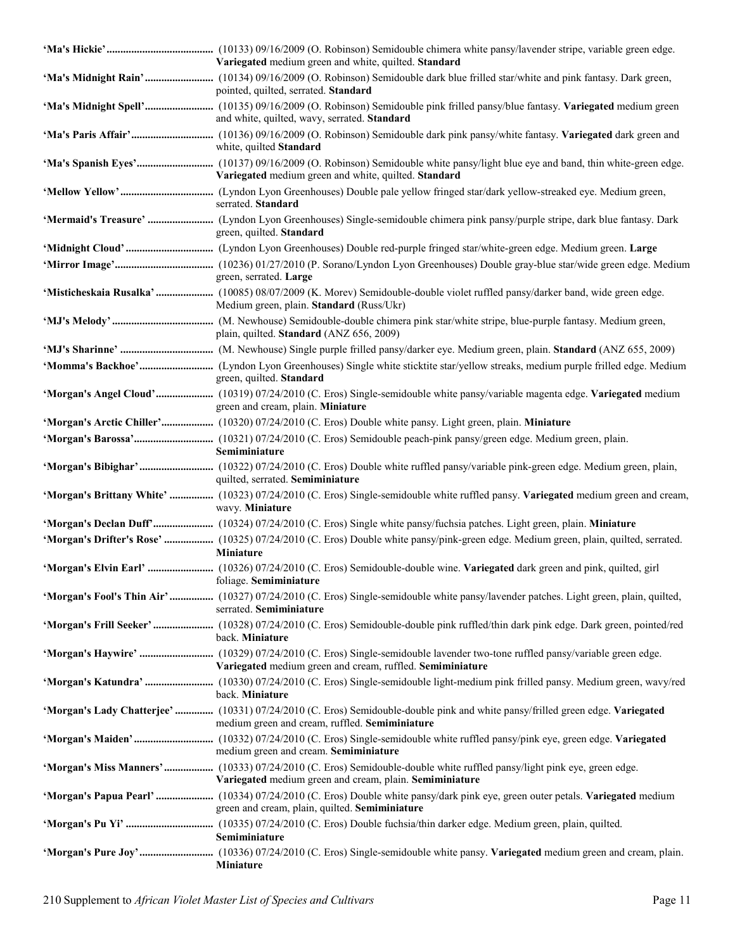| Variegated medium green and white, quilted. Standard                                                                                                                              |
|-----------------------------------------------------------------------------------------------------------------------------------------------------------------------------------|
| pointed, quilted, serrated. Standard                                                                                                                                              |
| and white, quilted, wavy, serrated. Standard                                                                                                                                      |
| white, quilted Standard                                                                                                                                                           |
| Variegated medium green and white, quilted. Standard                                                                                                                              |
| serrated. Standard                                                                                                                                                                |
| green, quilted. Standard                                                                                                                                                          |
|                                                                                                                                                                                   |
| green, serrated. Large                                                                                                                                                            |
| 'Misticheskaia Rusalka'  (10085) 08/07/2009 (K. Morev) Semidouble-double violet ruffled pansy/darker band, wide green edge.<br>Medium green, plain. Standard (Russ/Ukr)           |
| plain, quilted. Standard (ANZ 656, 2009)                                                                                                                                          |
|                                                                                                                                                                                   |
| green, quilted. Standard                                                                                                                                                          |
| 'Morgan's Angel Cloud' (10319) 07/24/2010 (C. Eros) Single-semidouble white pansy/variable magenta edge. Variegated medium<br>green and cream, plain. Miniature                   |
| 'Morgan's Arctic Chiller' (10320) 07/24/2010 (C. Eros) Double white pansy. Light green, plain. Miniature                                                                          |
| Semiminiature                                                                                                                                                                     |
| quilted, serrated. Semiminiature                                                                                                                                                  |
| 'Morgan's Brittany White'  (10323) 07/24/2010 (C. Eros) Single-semidouble white ruffled pansy. Variegated medium green and cream,<br>wavy. Miniature                              |
| 'Morgan's Declan Duff' (10324) 07/24/2010 (C. Eros) Single white pansy/fuchsia patches. Light green, plain. Miniature                                                             |
| 'Morgan's Drifter's Rose'  (10325) 07/24/2010 (C. Eros) Double white pansy/pink-green edge. Medium green, plain, quilted, serrated.<br><b>Miniature</b>                           |
| foliage. Semiminiature                                                                                                                                                            |
| 'Morgan's Fool's Thin Air'  (10327) 07/24/2010 (C. Eros) Single-semidouble white pansy/lavender patches. Light green, plain, quilted,<br>serrated. Semiminiature                  |
| 'Morgan's Frill Seeker'  (10328) 07/24/2010 (C. Eros) Semidouble-double pink ruffled/thin dark pink edge. Dark green, pointed/red<br>back. Miniature                              |
| Variegated medium green and cream, ruffled. Semiminiature                                                                                                                         |
| back. Miniature                                                                                                                                                                   |
| 'Morgan's Lady Chatterjee'  (10331) 07/24/2010 (C. Eros) Semidouble-double pink and white pansy/frilled green edge. Variegated<br>medium green and cream, ruffled. Semiminiature  |
| medium green and cream. Semiminiature                                                                                                                                             |
| 'Morgan's Miss Manners' (10333) 07/24/2010 (C. Eros) Semidouble-double white ruffled pansy/light pink eye, green edge.<br>Variegated medium green and cream, plain. Semiminiature |
| 'Morgan's Papua Pearl'  (10334) 07/24/2010 (C. Eros) Double white pansy/dark pink eye, green outer petals. Variegated medium<br>green and cream, plain, quilted. Semiminiature    |
| Semiminiature                                                                                                                                                                     |
| Miniature                                                                                                                                                                         |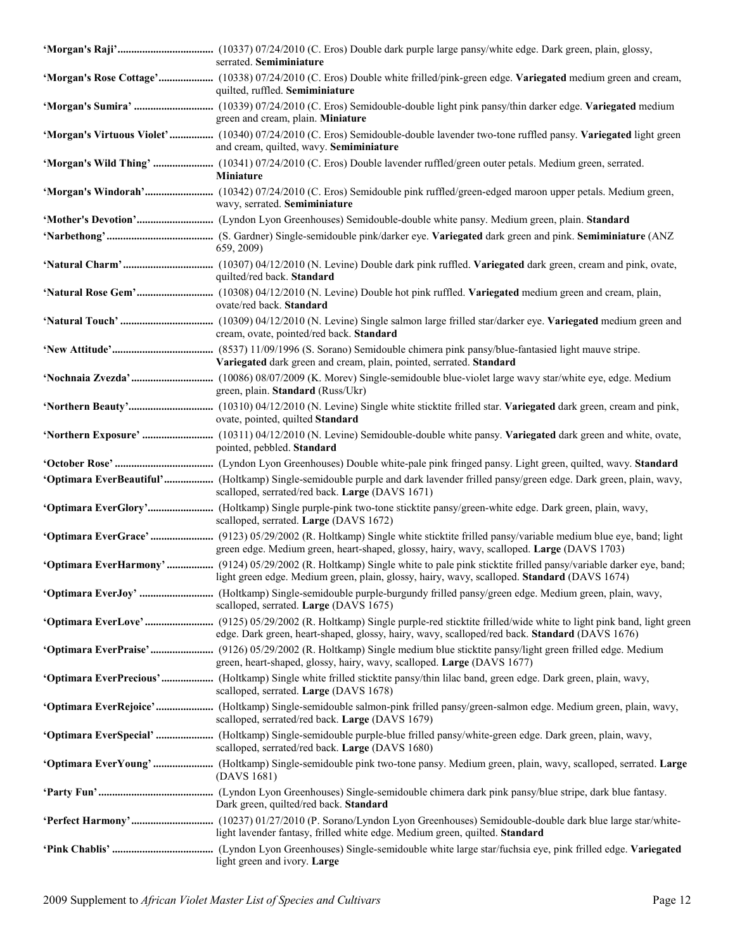| serrated. Semiminiature                                                                                                                                                                                                             |
|-------------------------------------------------------------------------------------------------------------------------------------------------------------------------------------------------------------------------------------|
| 'Morgan's Rose Cottage' (10338) 07/24/2010 (C. Eros) Double white frilled/pink-green edge. Variegated medium green and cream,<br>quilted, ruffled. Semiminiature                                                                    |
| green and cream, plain. Miniature                                                                                                                                                                                                   |
| 'Morgan's Virtuous Violet' (10340) 07/24/2010 (C. Eros) Semidouble-double lavender two-tone ruffled pansy. Variegated light green<br>and cream, quilted, wavy. Semiminiature                                                        |
| 'Morgan's Wild Thing'  (10341) 07/24/2010 (C. Eros) Double lavender ruffled/green outer petals. Medium green, serrated.<br>Miniature                                                                                                |
| wavy, serrated. Semiminiature                                                                                                                                                                                                       |
|                                                                                                                                                                                                                                     |
| 659, 2009)                                                                                                                                                                                                                          |
| quilted/red back. Standard                                                                                                                                                                                                          |
| ovate/red back. Standard                                                                                                                                                                                                            |
| cream, ovate, pointed/red back. Standard                                                                                                                                                                                            |
| Variegated dark green and cream, plain, pointed, serrated. Standard                                                                                                                                                                 |
| green, plain. Standard (Russ/Ukr)                                                                                                                                                                                                   |
| ovate, pointed, quilted Standard                                                                                                                                                                                                    |
| pointed, pebbled. Standard                                                                                                                                                                                                          |
|                                                                                                                                                                                                                                     |
| 'Optimara EverBeautiful' (Holtkamp) Single-semidouble purple and dark lavender frilled pansy/green edge. Dark green, plain, wavy,<br>scalloped, serrated/red back. Large (DAVS 1671)                                                |
| scalloped, serrated. Large (DAVS 1672)                                                                                                                                                                                              |
| green edge. Medium green, heart-shaped, glossy, hairy, wavy, scalloped. Large (DAVS 1703)                                                                                                                                           |
| 'Optimara EverHarmony'  (9124) 05/29/2002 (R. Holtkamp) Single white to pale pink sticktite frilled pansy/variable darker eye, band;<br>light green edge. Medium green, plain, glossy, hairy, wavy, scalloped. Standard (DAVS 1674) |
| scalloped, serrated. Large (DAVS 1675)                                                                                                                                                                                              |
| edge. Dark green, heart-shaped, glossy, hairy, wavy, scalloped/red back. Standard (DAVS 1676)                                                                                                                                       |
| 'Optimara EverPraise' (9126) 05/29/2002 (R. Holtkamp) Single medium blue sticktite pansy/light green frilled edge. Medium<br>green, heart-shaped, glossy, hairy, wavy, scalloped. Large (DAVS 1677)                                 |
| 'Optimara EverPrecious' (Holtkamp) Single white frilled sticktite pansy/thin lilac band, green edge. Dark green, plain, wavy,<br>scalloped, serrated. Large (DAVS 1678)                                                             |
| scalloped, serrated/red back. Large (DAVS 1679)                                                                                                                                                                                     |
| 'Optimara EverSpecial'  (Holtkamp) Single-semidouble purple-blue frilled pansy/white-green edge. Dark green, plain, wavy,<br>scalloped, serrated/red back. Large (DAVS 1680)                                                        |
| (DAVS 1681)                                                                                                                                                                                                                         |
| Dark green, quilted/red back. Standard                                                                                                                                                                                              |
| light lavender fantasy, frilled white edge. Medium green, quilted. Standard                                                                                                                                                         |
| light green and ivory. Large                                                                                                                                                                                                        |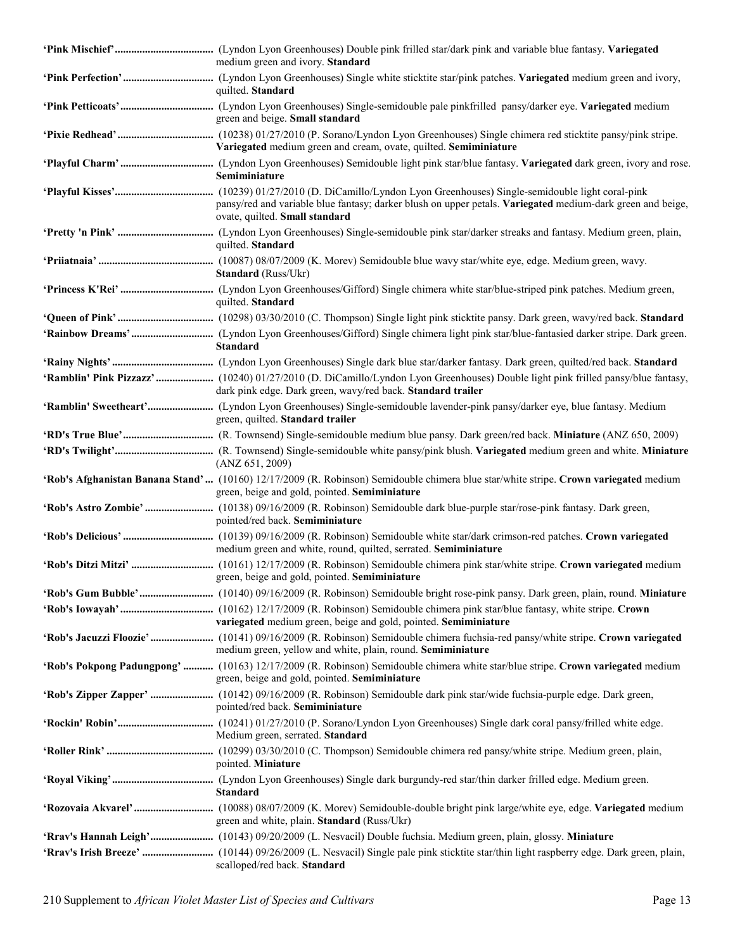| medium green and ivory. Standard                                                                                                                                                      |
|---------------------------------------------------------------------------------------------------------------------------------------------------------------------------------------|
| quilted. Standard                                                                                                                                                                     |
| green and beige. Small standard                                                                                                                                                       |
| Variegated medium green and cream, ovate, quilted. Semiminiature                                                                                                                      |
| Semiminiature                                                                                                                                                                         |
| pansy/red and variable blue fantasy; darker blush on upper petals. Variegated medium-dark green and beige,<br>ovate, quilted. Small standard                                          |
| quilted. Standard                                                                                                                                                                     |
| Standard (Russ/Ukr)                                                                                                                                                                   |
| quilted. Standard                                                                                                                                                                     |
|                                                                                                                                                                                       |
| <b>Standard</b>                                                                                                                                                                       |
|                                                                                                                                                                                       |
| dark pink edge. Dark green, wavy/red back. Standard trailer                                                                                                                           |
| green, quilted. Standard trailer                                                                                                                                                      |
|                                                                                                                                                                                       |
| (ANZ 651, 2009)                                                                                                                                                                       |
| 'Rob's Afghanistan Banana Stand' (10160) 12/17/2009 (R. Robinson) Semidouble chimera blue star/white stripe. Crown variegated medium<br>green, beige and gold, pointed. Semiminiature |
| pointed/red back. Semiminiature                                                                                                                                                       |
| medium green and white, round, quilted, serrated. Semiminiature                                                                                                                       |
| green, beige and gold, pointed. Semiminiature                                                                                                                                         |
|                                                                                                                                                                                       |
| variegated medium green, beige and gold, pointed. Semiminiature                                                                                                                       |
| medium green, yellow and white, plain, round. Semiminiature                                                                                                                           |
| 'Rob's Pokpong Padungpong'  (10163) 12/17/2009 (R. Robinson) Semidouble chimera white star/blue stripe. Crown variegated medium<br>green, beige and gold, pointed. Semiminiature      |
| pointed/red back. Semiminiature                                                                                                                                                       |
| Medium green, serrated. Standard                                                                                                                                                      |
| pointed. Miniature                                                                                                                                                                    |
| <b>Standard</b>                                                                                                                                                                       |
| green and white, plain. Standard (Russ/Ukr)                                                                                                                                           |
| 'Rrav's Hannah Leigh' (10143) 09/20/2009 (L. Nesvacil) Double fuchsia. Medium green, plain, glossy. Miniature                                                                         |
| scalloped/red back. Standard                                                                                                                                                          |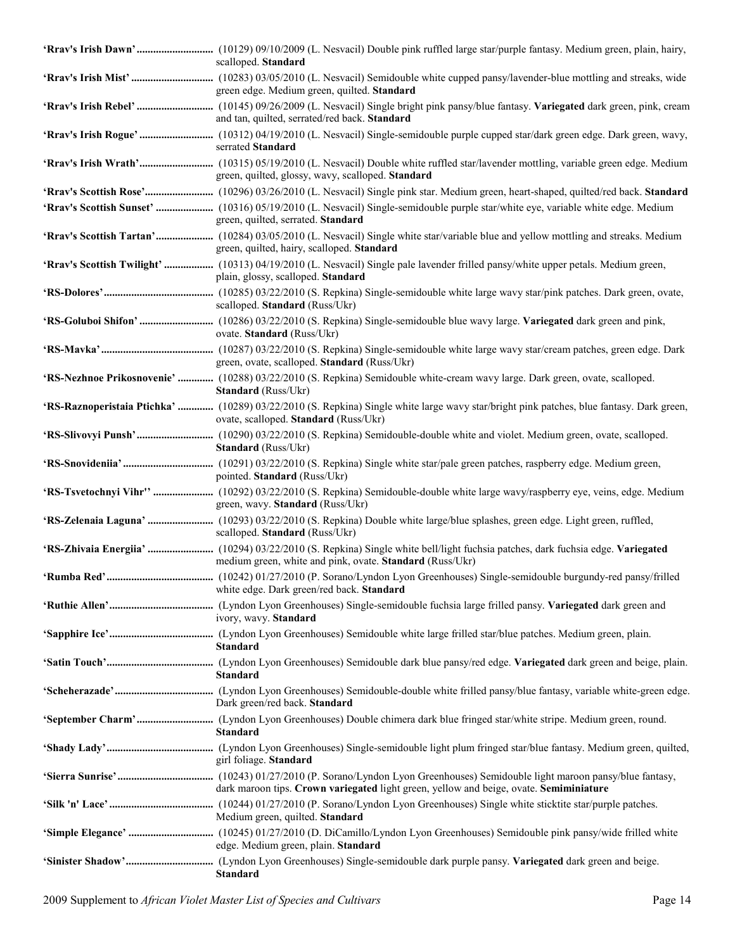| scalloped. Standard                                                                                                                                                               |
|-----------------------------------------------------------------------------------------------------------------------------------------------------------------------------------|
| green edge. Medium green, quilted. Standard                                                                                                                                       |
| and tan, quilted, serrated/red back. Standard                                                                                                                                     |
| serrated Standard                                                                                                                                                                 |
| green, quilted, glossy, wavy, scalloped. Standard                                                                                                                                 |
|                                                                                                                                                                                   |
| green, quilted, serrated. Standard                                                                                                                                                |
| 'Rrav's Scottish Tartan' (10284) 03/05/2010 (L. Nesvacil) Single white star/variable blue and yellow mottling and streaks. Medium<br>green, quilted, hairy, scalloped. Standard   |
| 'Rrav's Scottish Twilight'  (10313) 04/19/2010 (L. Nesvacil) Single pale lavender frilled pansy/white upper petals. Medium green,<br>plain, glossy, scalloped. Standard           |
| scalloped. Standard (Russ/Ukr)                                                                                                                                                    |
| ovate. Standard (Russ/Ukr)                                                                                                                                                        |
| green, ovate, scalloped. Standard (Russ/Ukr)                                                                                                                                      |
| 'RS-Nezhnoe Prikosnovenie'  (10288) 03/22/2010 (S. Repkina) Semidouble white-cream wavy large. Dark green, ovate, scalloped.<br>Standard (Russ/Ukr)                               |
| 'RS-Raznoperistaia Ptichka'  (10289) 03/22/2010 (S. Repkina) Single white large wavy star/bright pink patches, blue fantasy. Dark green,<br>ovate, scalloped. Standard (Russ/Ukr) |
| Standard (Russ/Ukr)                                                                                                                                                               |
| pointed. Standard (Russ/Ukr)                                                                                                                                                      |
| green, wavy. Standard (Russ/Ukr)                                                                                                                                                  |
| scalloped. Standard (Russ/Ukr)                                                                                                                                                    |
| medium green, white and pink, ovate. Standard (Russ/Ukr)                                                                                                                          |
| white edge. Dark green/red back. Standard                                                                                                                                         |
| ivory, wavy. Standard                                                                                                                                                             |
| <b>Standard</b>                                                                                                                                                                   |
| <b>Standard</b>                                                                                                                                                                   |
| Dark green/red back. Standard                                                                                                                                                     |
| <b>Standard</b>                                                                                                                                                                   |
| girl foliage. Standard                                                                                                                                                            |
| dark maroon tips. Crown variegated light green, yellow and beige, ovate. Semiminiature                                                                                            |
| Medium green, quilted. Standard                                                                                                                                                   |
| edge. Medium green, plain. Standard                                                                                                                                               |
| <b>Standard</b>                                                                                                                                                                   |

2009 Supplement to *African Violet Master List of Species and Cultivars* Page 14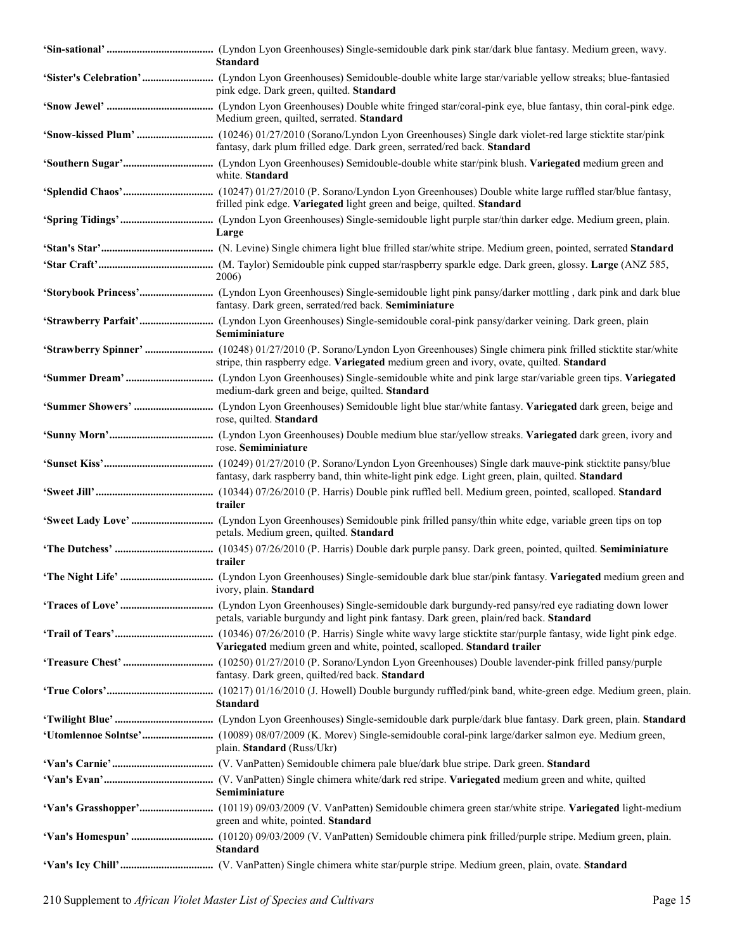| <b>Standard</b>                                                                                 |
|-------------------------------------------------------------------------------------------------|
| pink edge. Dark green, quilted. Standard                                                        |
| Medium green, quilted, serrated. Standard                                                       |
| fantasy, dark plum frilled edge. Dark green, serrated/red back. Standard                        |
| white. Standard                                                                                 |
| frilled pink edge. Variegated light green and beige, quilted. Standard                          |
| Large                                                                                           |
|                                                                                                 |
| 2006)                                                                                           |
| fantasy. Dark green, serrated/red back. Semiminiature                                           |
| Semiminiature                                                                                   |
| stripe, thin raspberry edge. Variegated medium green and ivory, ovate, quilted. Standard        |
| medium-dark green and beige, quilted. Standard                                                  |
| rose, quilted. Standard                                                                         |
| rose. Semiminiature                                                                             |
| fantasy, dark raspberry band, thin white-light pink edge. Light green, plain, quilted. Standard |
| trailer                                                                                         |
| petals. Medium green, quilted. Standard                                                         |
| trailer                                                                                         |
| ivory, plain. Standard                                                                          |
| petals, variable burgundy and light pink fantasy. Dark green, plain/red back. Standard          |
| Variegated medium green and white, pointed, scalloped. Standard trailer                         |
| fantasy. Dark green, quilted/red back. Standard                                                 |
| <b>Standard</b>                                                                                 |
|                                                                                                 |
| plain. Standard (Russ/Ukr)                                                                      |
|                                                                                                 |
| Semiminiature                                                                                   |
| green and white, pointed. Standard                                                              |
| <b>Standard</b>                                                                                 |
|                                                                                                 |